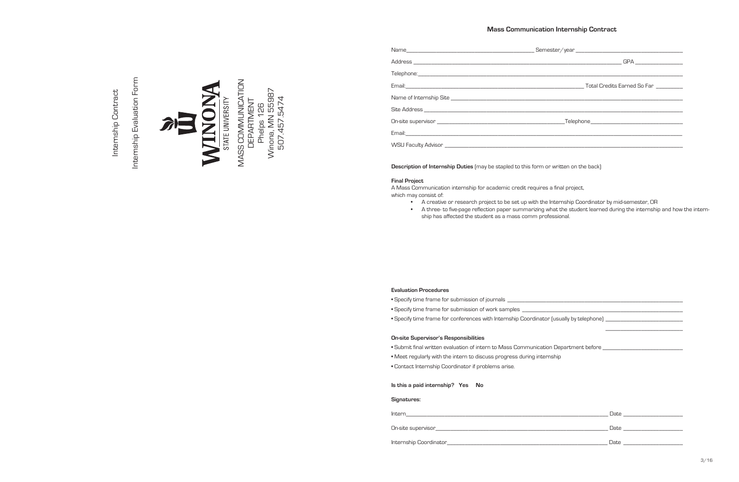# **Mass Communication Internship Contract**

**Description of Internship Duties** (may be stapled to this form or written on the back)

#### **Final Project**

A Mass Communication internship for academic credit requires a final project, which may consist of:

- A creative or research project to be set up with the Internship Coordinator by mid-semester, OR
- A three- to five-page reflection paper summarizing what the student learned during the internship and how the internship has affected the student as a mass comm professional.

## **Evaluation Procedures**

• Specify time frame for submission of journals \_\_\_\_\_\_\_\_\_\_\_\_\_\_\_\_\_\_\_\_\_\_\_\_\_\_\_\_\_\_\_\_\_\_\_\_\_\_\_\_\_\_\_\_\_\_\_\_\_\_\_\_\_\_\_\_\_\_\_

• Specify time frame for submission of work samples \_

• Specify time frame for conferences with Internship Coordinator (usually by telephone) \_\_\_\_\_\_\_\_\_\_\_\_\_\_\_\_\_\_\_\_\_\_

## **On-site Supervisor's Responsibilities**

- Submit final written evaluation of intern to Mass Communication Department before \_\_\_\_\_\_\_\_\_\_\_\_\_\_\_\_\_\_\_\_\_\_\_\_\_\_\_
- Meet regularly with the intern to discuss progress during internship
- Contact Internship Coordinator if problems arise.

#### **Is this a paid internship? Yes No**

#### **Signatures:**

| Intern                  | Date |
|-------------------------|------|
| On-site supervisor_     | Date |
| Internship Coordinator_ | Date |

\_\_\_\_\_\_\_\_\_\_\_\_\_\_\_\_\_\_\_\_\_\_\_\_\_\_